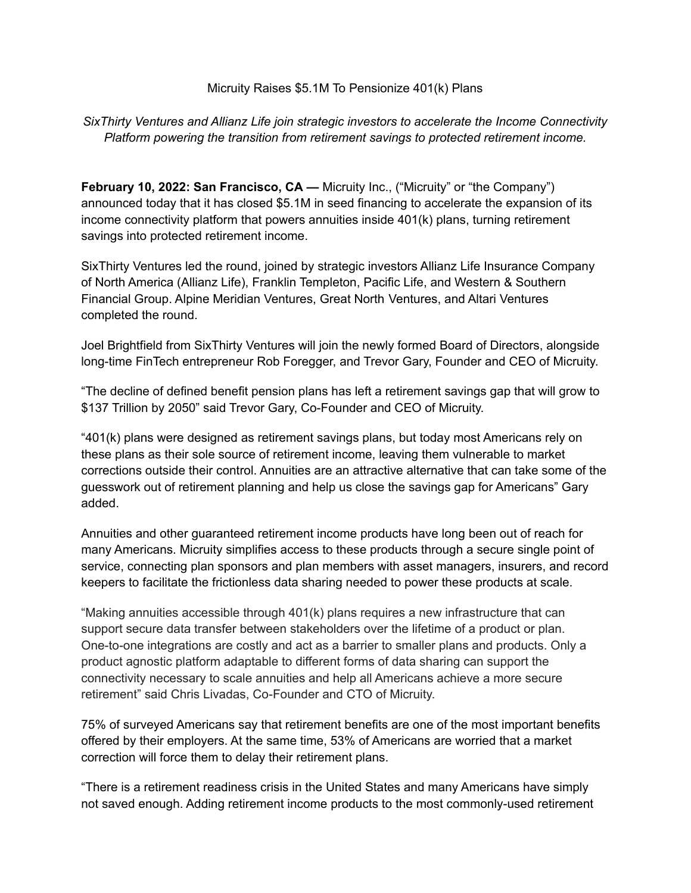### Micruity Raises \$5.1M To Pensionize 401(k) Plans

# *SixThirty Ventures and Allianz Life join strategic investors to accelerate the Income Connectivity Platform powering the transition from retirement savings to protected retirement income.*

**February 10, 2022: San Francisco, CA —** Micruity Inc., ("Micruity" or "the Company") announced today that it has closed \$5.1M in seed financing to accelerate the expansion of its income connectivity platform that powers annuities inside 401(k) plans, turning retirement savings into protected retirement income.

SixThirty Ventures led the round, joined by strategic investors Allianz Life Insurance Company of North America (Allianz Life), Franklin Templeton, Pacific Life, and Western & Southern Financial Group. Alpine Meridian Ventures, Great North Ventures, and Altari Ventures completed the round.

Joel Brightfield from SixThirty Ventures will join the newly formed Board of Directors, alongside long-time FinTech entrepreneur Rob Foregger, and Trevor Gary, Founder and CEO of Micruity.

"The decline of defined benefit pension plans has left a retirement savings gap that will grow to \$137 Trillion by 2050" said Trevor Gary, Co-Founder and CEO of Micruity.

"401(k) plans were designed as retirement savings plans, but today most Americans rely on these plans as their sole source of retirement income, leaving them vulnerable to market corrections outside their control. Annuities are an attractive alternative that can take some of the guesswork out of retirement planning and help us close the savings gap for Americans" Gary added.

Annuities and other guaranteed retirement income products have long been out of reach for many Americans. Micruity simplifies access to these products through a secure single point of service, connecting plan sponsors and plan members with asset managers, insurers, and record keepers to facilitate the frictionless data sharing needed to power these products at scale.

"Making annuities accessible through 401(k) plans requires a new infrastructure that can support secure data transfer between stakeholders over the lifetime of a product or plan. One-to-one integrations are costly and act as a barrier to smaller plans and products. Only a product agnostic platform adaptable to different forms of data sharing can support the connectivity necessary to scale annuities and help all Americans achieve a more secure retirement" said Chris Livadas, Co-Founder and CTO of Micruity.

75% of surveyed Americans say that retirement benefits are one of the most important benefits offered by their employers. At the same time, 53% of Americans are worried that a market correction will force them to delay their retirement plans.

"There is a retirement readiness crisis in the United States and many Americans have simply not saved enough. Adding retirement income products to the most commonly-used retirement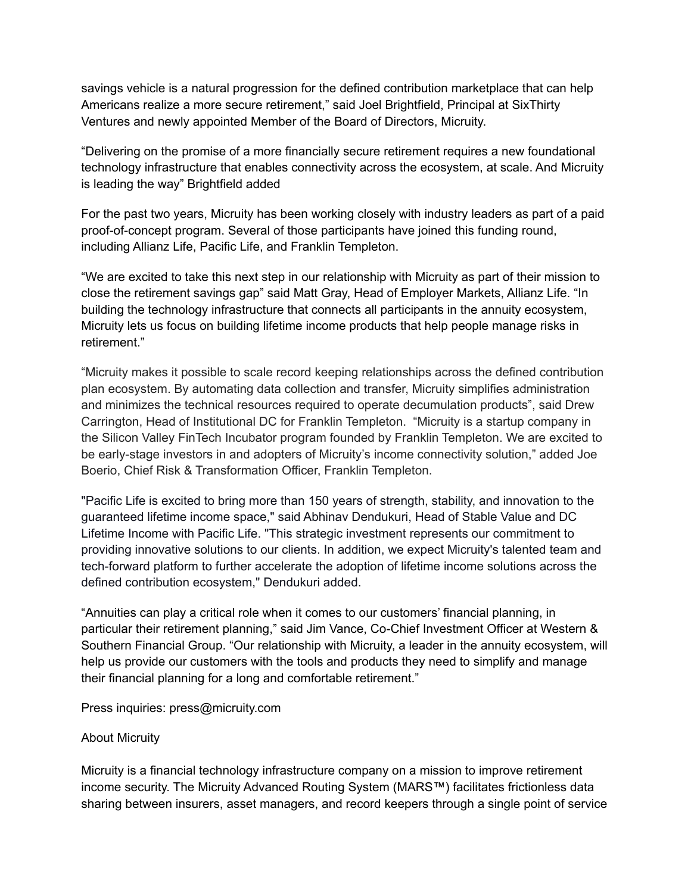savings vehicle is a natural progression for the defined contribution marketplace that can help Americans realize a more secure retirement," said Joel Brightfield, Principal at SixThirty Ventures and newly appointed Member of the Board of Directors, Micruity.

"Delivering on the promise of a more financially secure retirement requires a new foundational technology infrastructure that enables connectivity across the ecosystem, at scale. And Micruity is leading the way" Brightfield added

For the past two years, Micruity has been working closely with industry leaders as part of a paid proof-of-concept program. Several of those participants have joined this funding round, including Allianz Life, Pacific Life, and Franklin Templeton.

"We are excited to take this next step in our relationship with Micruity as part of their mission to close the retirement savings gap" said Matt Gray, Head of Employer Markets, Allianz Life. "In building the technology infrastructure that connects all participants in the annuity ecosystem, Micruity lets us focus on building lifetime income products that help people manage risks in retirement."

"Micruity makes it possible to scale record keeping relationships across the defined contribution plan ecosystem. By automating data collection and transfer, Micruity simplifies administration and minimizes the technical resources required to operate decumulation products", said Drew Carrington, Head of Institutional DC for Franklin Templeton. "Micruity is a startup company in the Silicon Valley FinTech Incubator program founded by Franklin Templeton. We are excited to be early-stage investors in and adopters of Micruity's income connectivity solution," added Joe Boerio, Chief Risk & Transformation Officer, Franklin Templeton.

"Pacific Life is excited to bring more than 150 years of strength, stability, and innovation to the guaranteed lifetime income space," said Abhinav Dendukuri, Head of Stable Value and DC Lifetime Income with Pacific Life. "This strategic investment represents our commitment to providing innovative solutions to our clients. In addition, we expect Micruity's talented team and tech-forward platform to further accelerate the adoption of lifetime income solutions across the defined contribution ecosystem," Dendukuri added.

"Annuities can play a critical role when it comes to our customers' financial planning, in particular their retirement planning," said Jim Vance, Co-Chief Investment Officer at Western & Southern Financial Group. "Our relationship with Micruity, a leader in the annuity ecosystem, will help us provide our customers with the tools and products they need to simplify and manage their financial planning for a long and comfortable retirement."

Press inquiries: press@micruity.com

### About Micruity

Micruity is a financial technology infrastructure company on a mission to improve retirement income security. The Micruity Advanced Routing System (MARS™) facilitates frictionless data sharing between insurers, asset managers, and record keepers through a single point of service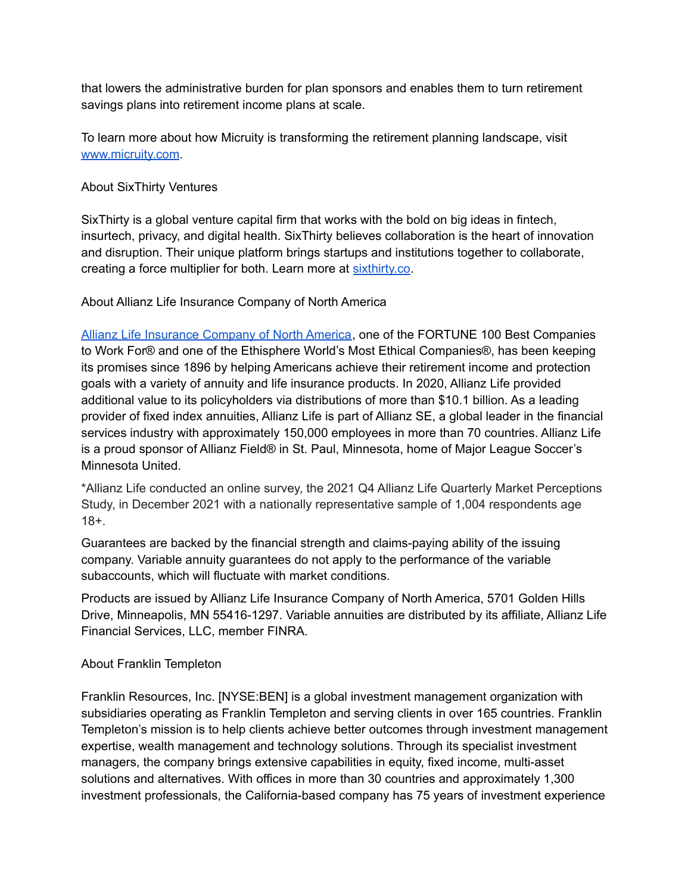that lowers the administrative burden for plan sponsors and enables them to turn retirement savings plans into retirement income plans at scale.

To learn more about how Micruity is transforming the retirement planning landscape, visit [www.micruity.com](http://www.micruity.com).

### About SixThirty Ventures

SixThirty is a global venture capital firm that works with the bold on big ideas in fintech, insurtech, privacy, and digital health. SixThirty believes collaboration is the heart of innovation and disruption. Their unique platform brings startups and institutions together to collaborate, creating a force multiplier for both. Learn more at [sixthirty.co.](http://sixthirty.co/)

## About Allianz Life Insurance Company of North America

Allianz Life [Insurance](http://www.allianzlife.com) Company of North America, one of the FORTUNE 100 Best Companies to Work For® and one of the Ethisphere World's Most Ethical Companies®, has been keeping its promises since 1896 by helping Americans achieve their retirement income and protection goals with a variety of annuity and life insurance products. In 2020, Allianz Life provided additional value to its policyholders via distributions of more than \$10.1 billion. As a leading provider of fixed index annuities, Allianz Life is part of Allianz SE, a global leader in the financial services industry with approximately 150,000 employees in more than 70 countries. Allianz Life is a proud sponsor of Allianz Field® in St. Paul, Minnesota, home of Major League Soccer's Minnesota United.

\*Allianz Life conducted an online survey, the 2021 Q4 Allianz Life Quarterly Market Perceptions Study, in December 2021 with a nationally representative sample of 1,004 respondents age 18+.

Guarantees are backed by the financial strength and claims-paying ability of the issuing company. Variable annuity guarantees do not apply to the performance of the variable subaccounts, which will fluctuate with market conditions.

Products are issued by Allianz Life Insurance Company of North America, 5701 Golden Hills Drive, Minneapolis, MN 55416-1297. Variable annuities are distributed by its affiliate, Allianz Life Financial Services, LLC, member FINRA.

### About Franklin Templeton

Franklin Resources, Inc. [NYSE:BEN] is a global investment management organization with subsidiaries operating as Franklin Templeton and serving clients in over 165 countries. Franklin Templeton's mission is to help clients achieve better outcomes through investment management expertise, wealth management and technology solutions. Through its specialist investment managers, the company brings extensive capabilities in equity, fixed income, multi-asset solutions and alternatives. With offices in more than 30 countries and approximately 1,300 investment professionals, the California-based company has 75 years of investment experience